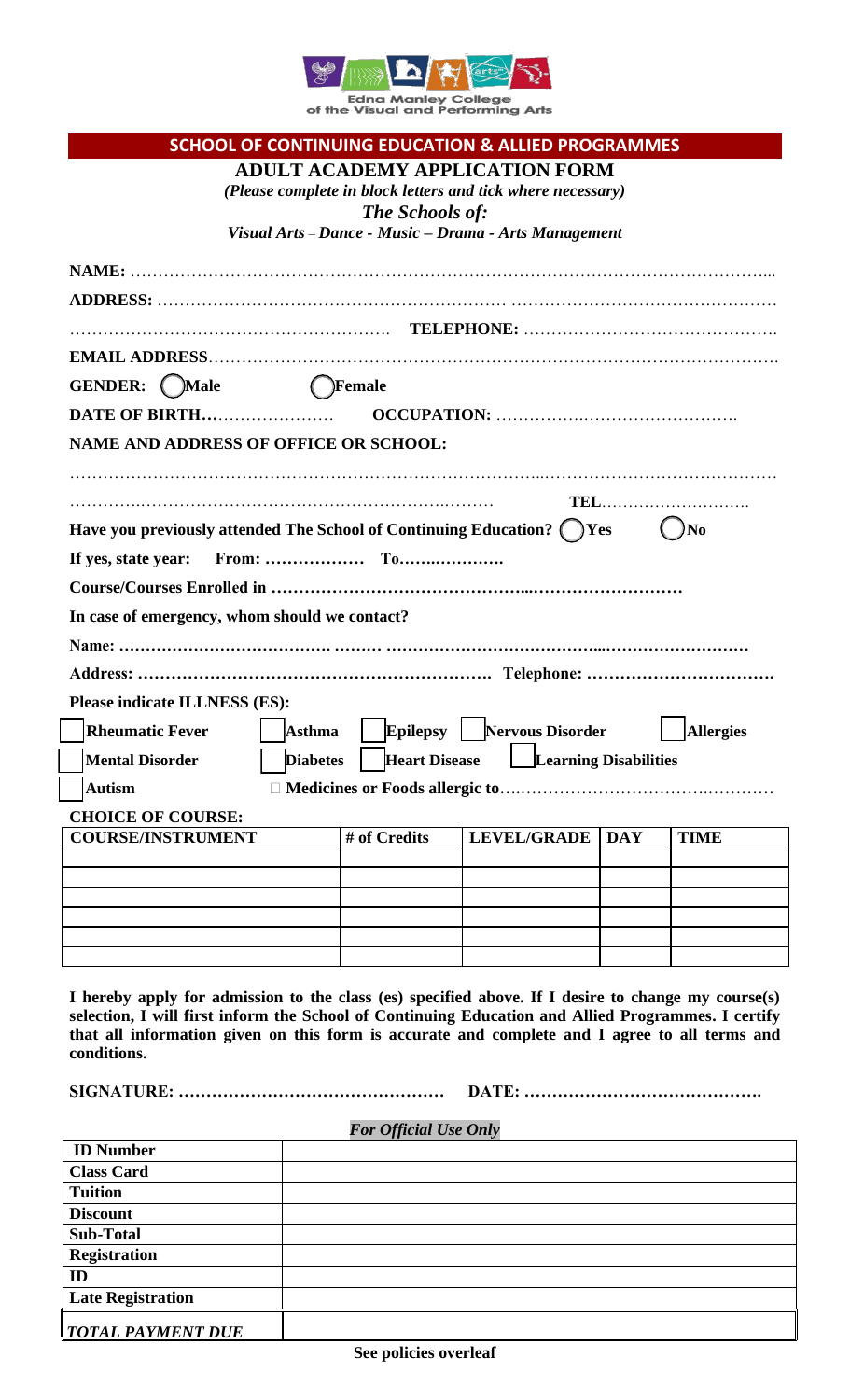

Edna Manley College<br>of the Visual and Performing Arts

|                                                                                                    |                 |                              | <b>SCHOOL OF CONTINUING EDUCATION &amp; ALLIED PROGRAMMES</b> |            |                  |
|----------------------------------------------------------------------------------------------------|-----------------|------------------------------|---------------------------------------------------------------|------------|------------------|
|                                                                                                    |                 |                              | <b>ADULT ACADEMY APPLICATION FORM</b>                         |            |                  |
|                                                                                                    |                 |                              | (Please complete in block letters and tick where necessary)   |            |                  |
|                                                                                                    |                 | <b>The Schools of:</b>       | Visual Arts - Dance - Music - Drama - Arts Management         |            |                  |
|                                                                                                    |                 |                              |                                                               |            |                  |
|                                                                                                    |                 |                              |                                                               |            |                  |
|                                                                                                    |                 |                              |                                                               |            |                  |
|                                                                                                    |                 |                              |                                                               |            |                  |
|                                                                                                    |                 |                              |                                                               |            |                  |
| GENDER: (Male                                                                                      |                 | ( )Female                    |                                                               |            |                  |
|                                                                                                    |                 |                              |                                                               |            |                  |
|                                                                                                    |                 |                              |                                                               |            |                  |
| NAME AND ADDRESS OF OFFICE OR SCHOOL:                                                              |                 |                              |                                                               |            |                  |
|                                                                                                    |                 |                              |                                                               |            |                  |
|                                                                                                    |                 |                              |                                                               |            | TEL              |
| Have you previously attended The School of Continuing Education? () Yes                            |                 |                              |                                                               |            | N <sub>0</sub>   |
| If yes, state year:                                                                                |                 |                              |                                                               |            |                  |
|                                                                                                    |                 |                              |                                                               |            |                  |
| In case of emergency, whom should we contact?                                                      |                 |                              |                                                               |            |                  |
|                                                                                                    |                 |                              |                                                               |            |                  |
|                                                                                                    |                 |                              |                                                               |            |                  |
|                                                                                                    |                 |                              |                                                               |            |                  |
| Please indicate ILLNESS (ES):                                                                      |                 |                              |                                                               |            |                  |
| <b>Rheumatic Fever</b>                                                                             | <b>Asthma</b>   | <b>Epilepsy</b>              | <b>Nervous Disorder</b>                                       |            | <b>Allergies</b> |
| <b>Mental Disorder</b>                                                                             | <b>Diabetes</b> | <b>Heart Disease</b>         | Learning Disabilities                                         |            |                  |
| <b>Autism</b>                                                                                      |                 |                              |                                                               |            |                  |
| <b>CHOICE OF COURSE:</b>                                                                           |                 |                              |                                                               |            |                  |
| <b>COURSE/INSTRUMENT</b>                                                                           |                 | # of Credits                 | <b>LEVEL/GRADE</b>                                            | <b>DAY</b> | <b>TIME</b>      |
|                                                                                                    |                 |                              |                                                               |            |                  |
|                                                                                                    |                 |                              |                                                               |            |                  |
|                                                                                                    |                 |                              |                                                               |            |                  |
|                                                                                                    |                 |                              |                                                               |            |                  |
|                                                                                                    |                 |                              |                                                               |            |                  |
| I hereby apply for admission to the class (es) specified above. If I desire to change my course(s) |                 |                              |                                                               |            |                  |
| selection, I will first inform the School of Continuing Education and Allied Programmes. I certify |                 |                              |                                                               |            |                  |
| that all information given on this form is accurate and complete and I agree to all terms and      |                 |                              |                                                               |            |                  |
| conditions.                                                                                        |                 |                              |                                                               |            |                  |
|                                                                                                    |                 |                              |                                                               |            |                  |
|                                                                                                    |                 |                              |                                                               |            |                  |
| <b>ID Number</b>                                                                                   |                 | <b>For Official Use Only</b> |                                                               |            |                  |
| <b>Class Card</b>                                                                                  |                 |                              |                                                               |            |                  |
| <b>Tuition</b>                                                                                     |                 |                              |                                                               |            |                  |
| <b>Discount</b>                                                                                    |                 |                              |                                                               |            |                  |
| <b>Sub-Total</b>                                                                                   |                 |                              |                                                               |            |                  |
| <b>Registration</b>                                                                                |                 |                              |                                                               |            |                  |
| ID<br><b>Late Registration</b>                                                                     |                 |                              |                                                               |            |                  |
|                                                                                                    |                 |                              |                                                               |            |                  |
| <b>TOTAL PAYMENT DUE</b>                                                                           |                 |                              |                                                               |            |                  |